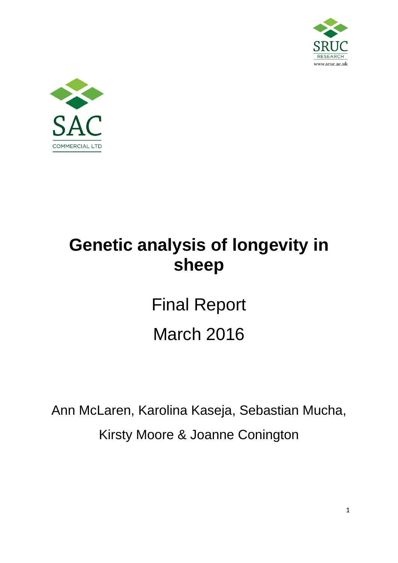



# **Genetic analysis of longevity in sheep**

Final Report March 2016

Ann McLaren, Karolina Kaseja, Sebastian Mucha, Kirsty Moore & Joanne Conington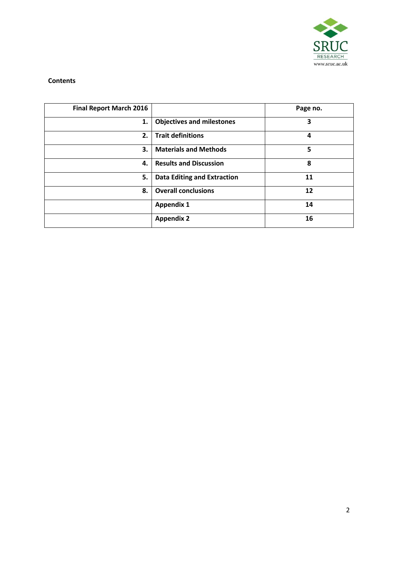

#### **Contents**

| <b>Final Report March 2016</b> |                                    | Page no. |
|--------------------------------|------------------------------------|----------|
| 1.                             | <b>Objectives and milestones</b>   | 3        |
| 2.                             | <b>Trait definitions</b>           | 4        |
| 3.                             | <b>Materials and Methods</b>       | 5        |
| 4.                             | <b>Results and Discussion</b>      | 8        |
| 5.                             | <b>Data Editing and Extraction</b> | 11       |
| 8.                             | <b>Overall conclusions</b>         | 12       |
|                                | <b>Appendix 1</b>                  | 14       |
|                                | <b>Appendix 2</b>                  | 16       |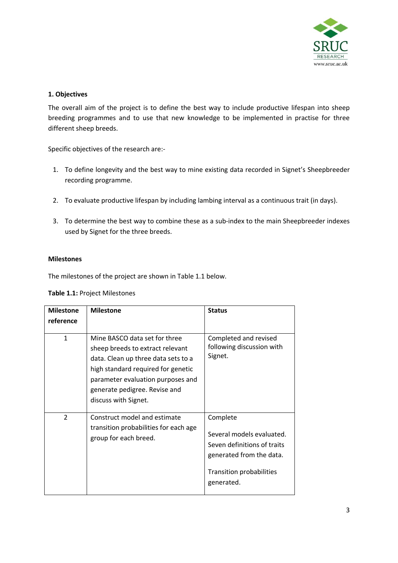

#### **1. Objectives**

The overall aim of the project is to define the best way to include productive lifespan into sheep breeding programmes and to use that new knowledge to be implemented in practise for three different sheep breeds.

Specific objectives of the research are:-

- 1. To define longevity and the best way to mine existing data recorded in Signet's Sheepbreeder recording programme.
- 2. To evaluate productive lifespan by including lambing interval as a continuous trait (in days).
- 3. To determine the best way to combine these as a sub-index to the main Sheepbreeder indexes used by Signet for the three breeds.

#### **Milestones**

The milestones of the project are shown in Table 1.1 below.

| Table 1.1: Project Milestones |  |
|-------------------------------|--|
|-------------------------------|--|

| <b>Milestone</b><br>reference | <b>Milestone</b>                                                                                                                                                                                                                             | <b>Status</b>                                                                                                                              |
|-------------------------------|----------------------------------------------------------------------------------------------------------------------------------------------------------------------------------------------------------------------------------------------|--------------------------------------------------------------------------------------------------------------------------------------------|
|                               |                                                                                                                                                                                                                                              |                                                                                                                                            |
| $\mathbf{1}$                  | Mine BASCO data set for three<br>sheep breeds to extract relevant<br>data. Clean up three data sets to a<br>high standard required for genetic<br>parameter evaluation purposes and<br>generate pedigree. Revise and<br>discuss with Signet. | Completed and revised<br>following discussion with<br>Signet.                                                                              |
| $\overline{2}$                | Construct model and estimate<br>transition probabilities for each age<br>group for each breed.                                                                                                                                               | Complete<br>Several models evaluated.<br>Seven definitions of traits<br>generated from the data.<br>Transition probabilities<br>generated. |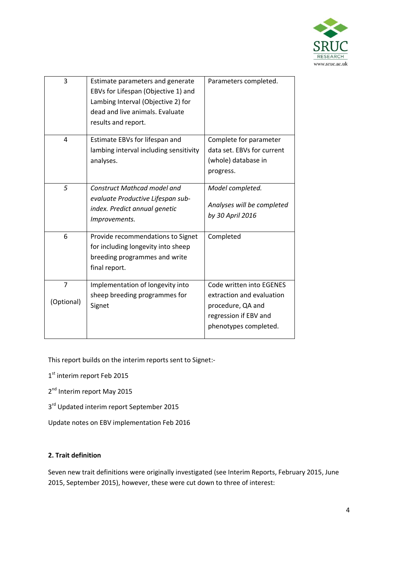

| 3                            | Estimate parameters and generate<br>EBVs for Lifespan (Objective 1) and<br>Lambing Interval (Objective 2) for<br>dead and live animals. Evaluate<br>results and report. | Parameters completed.                                                                                                        |
|------------------------------|-------------------------------------------------------------------------------------------------------------------------------------------------------------------------|------------------------------------------------------------------------------------------------------------------------------|
| 4                            | Estimate EBVs for lifespan and<br>lambing interval including sensitivity<br>analyses.                                                                                   | Complete for parameter<br>data set. EBVs for current<br>(whole) database in<br>progress.                                     |
| 5                            | <b>Construct Mathcad model and</b><br>evaluate Productive Lifespan sub-<br>index. Predict annual genetic<br>Improvements.                                               | Model completed.<br>Analyses will be completed<br>by 30 April 2016                                                           |
| 6                            | Provide recommendations to Signet<br>for including longevity into sheep<br>breeding programmes and write<br>final report.                                               | Completed                                                                                                                    |
| $\overline{7}$<br>(Optional) | Implementation of longevity into<br>sheep breeding programmes for<br>Signet                                                                                             | Code written into EGENES<br>extraction and evaluation<br>procedure, QA and<br>regression if EBV and<br>phenotypes completed. |

This report builds on the interim reports sent to Signet:-

1st interim report Feb 2015

2<sup>nd</sup> Interim report May 2015

3<sup>rd</sup> Updated interim report September 2015

Update notes on EBV implementation Feb 2016

#### **2. Trait definition**

Seven new trait definitions were originally investigated (see Interim Reports, February 2015, June 2015, September 2015), however, these were cut down to three of interest: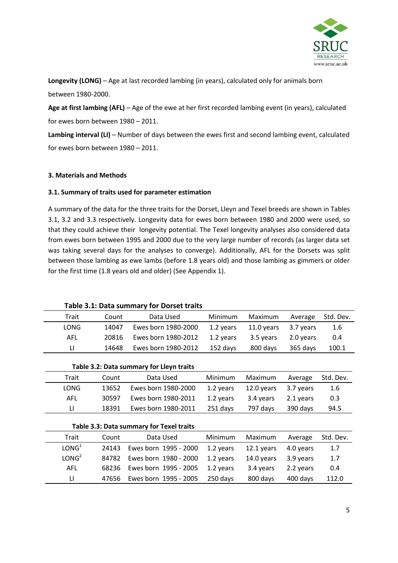

**Longevity (LONG)** – Age at last recorded lambing (in years), calculated only for animals born between 1980-2000.

**Age at first lambing (AFL)** – Age of the ewe at her first recorded lambing event (in years), calculated for ewes born between 1980 – 2011.

**Lambing interval (LI)** – Number of days between the ewes first and second lambing event, calculated for ewes born between 1980 – 2011.

#### **3. Materials and Methods**

#### **3.1. Summary of traits used for parameter estimation**

A summary of the data for the three traits for the Dorset, Lleyn and Texel breeds are shown in Tables 3.1, 3.2 and 3.3 respectively. Longevity data for ewes born between 1980 and 2000 were used, so that they could achieve their longevity potential. The Texel longevity analyses also considered data from ewes born between 1995 and 2000 due to the very large number of records (as larger data set was taking several days for the analyses to converge). Additionally, AFL for the Dorsets was split between those lambing as ewe lambs (before 1.8 years old) and those lambing as gimmers or older for the first time (1.8 years old and older) (See Appendix 1).

|                                                              | Table 3.1: Data summary for Dorset traits |                     |           |            |           |       |  |  |
|--------------------------------------------------------------|-------------------------------------------|---------------------|-----------|------------|-----------|-------|--|--|
| Data Used<br>Maximum<br>Trait<br>Minimum<br>Average<br>Count |                                           |                     |           |            |           |       |  |  |
| LONG                                                         | 14047                                     | Ewes born 1980-2000 | 1.2 years | 11.0 years | 3.7 years | 1.6   |  |  |
| AFL                                                          | 20816                                     | Ewes born 1980-2012 | 1.2 years | 3.5 years  | 2.0 years | 0.4   |  |  |
| П                                                            | 14648                                     | Ewes born 1980-2012 | 152 days  | 800 days   | 365 days  | 100.1 |  |  |
|                                                              |                                           |                     |           |            |           |       |  |  |

#### **Table 3.2: Data summary for Lleyn traits**

| Trait | Count | Data Used           | Minimum   | Maximum    | Average   | Std. Dev. |
|-------|-------|---------------------|-----------|------------|-----------|-----------|
| LONG  | 13652 | Ewes born 1980-2000 | 1.2 years | 12.0 vears | 3.7 years | 1.6       |
| AFL   | 30597 | Ewes born 1980-2011 | 1.2 vears | 3.4 vears  | 2.1 vears | 0.3       |
| п     | 18391 | Ewes born 1980-2011 | 251 days  | 797 days   | 390 days  | 94.5      |

#### **Table 3.3: Data summary for Texel traits**

| Trait             | Count | Data Used             | Minimum   | Maximum    | Average   | Std. Dev. |
|-------------------|-------|-----------------------|-----------|------------|-----------|-----------|
| LONG <sup>1</sup> | 24143 | Ewes born 1995 - 2000 | 1.2 years | 12.1 years | 4.0 years | 1.7       |
| LONG <sup>2</sup> | 84782 | Ewes born 1980 - 2000 | 1.2 years | 14.0 vears | 3.9 years | 1.7       |
| AFL               | 68236 | Ewes born 1995 - 2005 | 1.2 years | 3.4 years  | 2.2 years | 0.4       |
| П                 | 47656 | Ewes born 1995 - 2005 | 250 days  | 800 days   | 400 days  | 112.0     |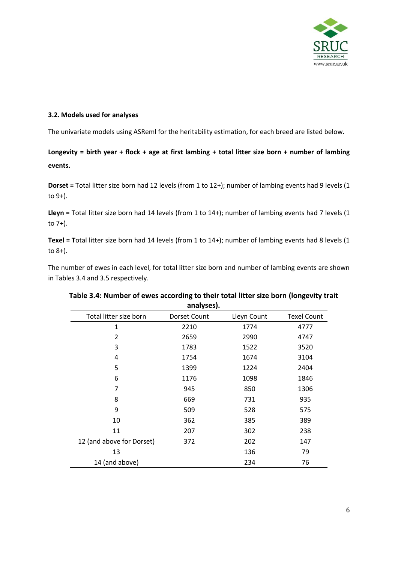

#### **3.2. Models used for analyses**

The univariate models using ASReml for the heritability estimation, for each breed are listed below.

# **Longevity = birth year + flock + age at first lambing + total litter size born + number of lambing events.**

**Dorset =** Total litter size born had 12 levels (from 1 to 12+); number of lambing events had 9 levels (1 to 9+).

**Lleyn =** Total litter size born had 14 levels (from 1 to 14+); number of lambing events had 7 levels (1 to 7+).

**Texel = T**otal litter size born had 14 levels (from 1 to 14+); number of lambing events had 8 levels (1 to 8+).

The number of ewes in each level, for total litter size born and number of lambing events are shown in Tables 3.4 and 3.5 respectively.

| analyses).                |              |             |                    |  |  |
|---------------------------|--------------|-------------|--------------------|--|--|
| Total litter size born    | Dorset Count | Lleyn Count | <b>Texel Count</b> |  |  |
| 1                         | 2210         | 1774        | 4777               |  |  |
| 2                         | 2659         | 2990        | 4747               |  |  |
| 3                         | 1783         | 1522        | 3520               |  |  |
| 4                         | 1754         | 1674        | 3104               |  |  |
| 5                         | 1399         | 1224        | 2404               |  |  |
| 6                         | 1176         | 1098        | 1846               |  |  |
| 7                         | 945          | 850         | 1306               |  |  |
| 8                         | 669          | 731         | 935                |  |  |
| 9                         | 509          | 528         | 575                |  |  |
| 10                        | 362          | 385         | 389                |  |  |
| 11                        | 207          | 302         | 238                |  |  |
| 12 (and above for Dorset) | 372          | 202         | 147                |  |  |
| 13                        |              | 136         | 79                 |  |  |
| 14 (and above)            |              | 234         | 76                 |  |  |

## **Table 3.4: Number of ewes according to their total litter size born (longevity trait analyses).**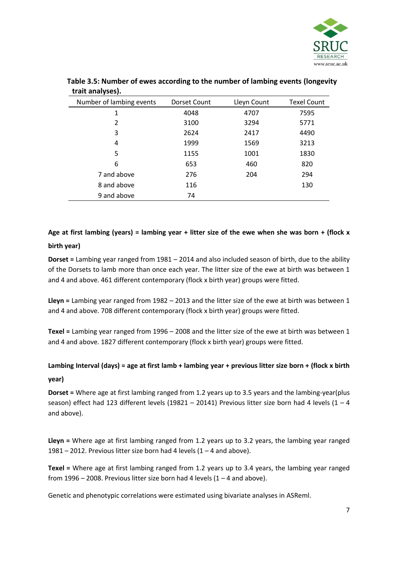

| Number of lambing events | Dorset Count | Lleyn Count | <b>Texel Count</b> |
|--------------------------|--------------|-------------|--------------------|
| 1                        | 4048         | 4707        | 7595               |
| 2                        | 3100         | 3294        | 5771               |
| 3                        | 2624         | 2417        | 4490               |
| 4                        | 1999         | 1569        | 3213               |
| 5                        | 1155         | 1001        | 1830               |
| 6                        | 653          | 460         | 820                |
| 7 and above              | 276          | 204         | 294                |
| 8 and above              | 116          |             | 130                |
| 9 and above              | 74           |             |                    |

| Table 3.5: Number of ewes according to the number of lambing events (longevity |  |
|--------------------------------------------------------------------------------|--|
| trait analyses).                                                               |  |

# **Age at first lambing (years) = lambing year + litter size of the ewe when she was born + (flock x birth year)**

**Dorset =** Lambing year ranged from 1981 – 2014 and also included season of birth, due to the ability of the Dorsets to lamb more than once each year. The litter size of the ewe at birth was between 1 and 4 and above. 461 different contemporary (flock x birth year) groups were fitted.

**Lleyn =** Lambing year ranged from 1982 – 2013 and the litter size of the ewe at birth was between 1 and 4 and above. 708 different contemporary (flock x birth year) groups were fitted.

**Texel =** Lambing year ranged from 1996 – 2008 and the litter size of the ewe at birth was between 1 and 4 and above. 1827 different contemporary (flock x birth year) groups were fitted.

# **Lambing Interval (days) = age at first lamb + lambing year + previous litter size born + (flock x birth year)**

**Dorset =** Where age at first lambing ranged from 1.2 years up to 3.5 years and the lambing-year(plus season) effect had 123 different levels (19821 – 20141) Previous litter size born had 4 levels (1 – 4 and above).

**Lleyn =** Where age at first lambing ranged from 1.2 years up to 3.2 years, the lambing year ranged 1981 – 2012. Previous litter size born had 4 levels  $(1 - 4$  and above).

**Texel =** Where age at first lambing ranged from 1.2 years up to 3.4 years, the lambing year ranged from 1996 – 2008. Previous litter size born had 4 levels  $(1 - 4$  and above).

Genetic and phenotypic correlations were estimated using bivariate analyses in ASReml.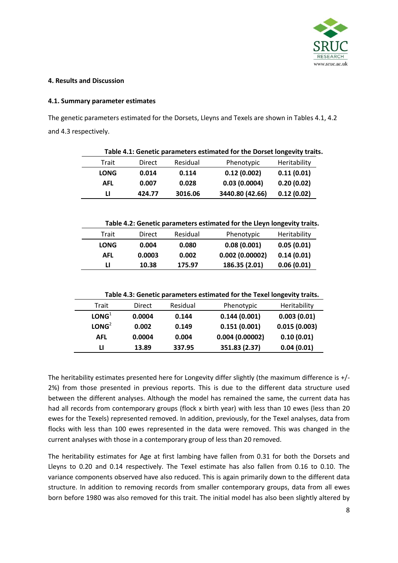

#### **4. Results and Discussion**

#### **4.1. Summary parameter estimates**

The genetic parameters estimated for the Dorsets, Lleyns and Texels are shown in Tables 4.1, 4.2 and 4.3 respectively.

| Table 4.1: Genetic parameters estimated for the Dorset longevity traits. |               |          |                                                                         |              |  |  |  |
|--------------------------------------------------------------------------|---------------|----------|-------------------------------------------------------------------------|--------------|--|--|--|
| Trait                                                                    | <b>Direct</b> | Residual | Phenotypic                                                              | Heritability |  |  |  |
| <b>LONG</b>                                                              | 0.014         | 0.114    | 0.12(0.002)                                                             | 0.11(0.01)   |  |  |  |
| <b>AFL</b>                                                               | 0.007         | 0.028    | 0.03(0.0004)                                                            | 0.20(0.02)   |  |  |  |
| LI                                                                       | 424.77        | 3016.06  | 3440.80 (42.66)                                                         | 0.12(0.02)   |  |  |  |
|                                                                          |               |          |                                                                         |              |  |  |  |
|                                                                          |               |          |                                                                         |              |  |  |  |
|                                                                          |               |          | Table 4.2: Genetic parameters estimated for the Lleyn longevity traits. |              |  |  |  |
| <b>Trait</b>                                                             | Direct        | Residual | Phenotypic                                                              | Heritability |  |  |  |
| <b>LONG</b>                                                              | 0.004         | 0.080    | 0.08(0.001)                                                             | 0.05(0.01)   |  |  |  |
| <b>AFL</b>                                                               | 0.0003        | 0.002    | 0.002(0.00002)                                                          | 0.14(0.01)   |  |  |  |
| п                                                                        | 10.38         | 175.97   | 186.35 (2.01)                                                           | 0.06(0.01)   |  |  |  |
|                                                                          |               |          |                                                                         |              |  |  |  |
|                                                                          |               |          |                                                                         |              |  |  |  |
| Table 4.3: Genetic parameters estimated for the Texel longevity traits.  |               |          |                                                                         |              |  |  |  |
| Trait                                                                    | Direct        | Residual | Phenotypic                                                              | Heritability |  |  |  |
| <b>IONG</b> <sup>1</sup>                                                 | 0.0004        | 0.144    | 0.144(0.001)                                                            | 0.003 (0.01) |  |  |  |

| LONG <sup>1</sup> | 0.0004 | 0.144  | 0.144(0.001)   | 0.003(0.01)  |
|-------------------|--------|--------|----------------|--------------|
| LONG <sup>2</sup> | 0.002  | 0.149  | 0.151(0.001)   | 0.015(0.003) |
| AFL               | 0.0004 | 0.004  | 0.004(0.00002) | 0.10(0.01)   |
| Н                 | 13.89  | 337.95 | 351.83 (2.37)  | 0.04(0.01)   |
|                   |        |        |                |              |

The heritability estimates presented here for Longevity differ slightly (the maximum difference is +/-2%) from those presented in previous reports. This is due to the different data structure used between the different analyses. Although the model has remained the same, the current data has had all records from contemporary groups (flock x birth year) with less than 10 ewes (less than 20 ewes for the Texels) represented removed. In addition, previously, for the Texel analyses, data from flocks with less than 100 ewes represented in the data were removed. This was changed in the current analyses with those in a contemporary group of less than 20 removed.

The heritability estimates for Age at first lambing have fallen from 0.31 for both the Dorsets and Lleyns to 0.20 and 0.14 respectively. The Texel estimate has also fallen from 0.16 to 0.10. The variance components observed have also reduced. This is again primarily down to the different data structure. In addition to removing records from smaller contemporary groups, data from all ewes born before 1980 was also removed for this trait. The initial model has also been slightly altered by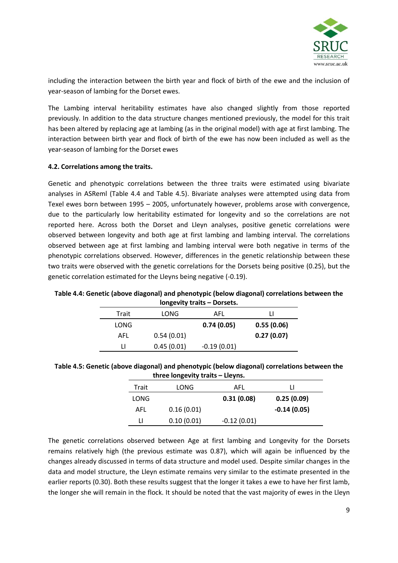

including the interaction between the birth year and flock of birth of the ewe and the inclusion of year-season of lambing for the Dorset ewes.

The Lambing interval heritability estimates have also changed slightly from those reported previously. In addition to the data structure changes mentioned previously, the model for this trait has been altered by replacing age at lambing (as in the original model) with age at first lambing. The interaction between birth year and flock of birth of the ewe has now been included as well as the year-season of lambing for the Dorset ewes

#### **4.2. Correlations among the traits.**

Genetic and phenotypic correlations between the three traits were estimated using bivariate analyses in ASReml (Table 4.4 and Table 4.5). Bivariate analyses were attempted using data from Texel ewes born between 1995 – 2005, unfortunately however, problems arose with convergence, due to the particularly low heritability estimated for longevity and so the correlations are not reported here. Across both the Dorset and Lleyn analyses, positive genetic correlations were observed between longevity and both age at first lambing and lambing interval. The correlations observed between age at first lambing and lambing interval were both negative in terms of the phenotypic correlations observed. However, differences in the genetic relationship between these two traits were observed with the genetic correlations for the Dorsets being positive (0.25), but the genetic correlation estimated for the Lleyns being negative (-0.19).

| Iongevity traits - Dorsets. |            |               |            |  |  |  |
|-----------------------------|------------|---------------|------------|--|--|--|
| Trait                       | LONG       | AFL           |            |  |  |  |
| LONG                        |            | 0.74(0.05)    | 0.55(0.06) |  |  |  |
| AFL                         | 0.54(0.01) |               | 0.27(0.07) |  |  |  |
| П                           | 0.45(0.01) | $-0.19(0.01)$ |            |  |  |  |

# **Table 4.4: Genetic (above diagonal) and phenotypic (below diagonal) correlations between the**

| Table 4.5: Genetic (above diagonal) and phenotypic (below diagonal) correlations between the |
|----------------------------------------------------------------------------------------------|
| three longevity traits – Lleyns.                                                             |

| Trait | LONG       | AFL           |               |
|-------|------------|---------------|---------------|
| LONG  |            | 0.31(0.08)    | 0.25(0.09)    |
| AFL   | 0.16(0.01) |               | $-0.14(0.05)$ |
| LI    | 0.10(0.01) | $-0.12(0.01)$ |               |

The genetic correlations observed between Age at first lambing and Longevity for the Dorsets remains relatively high (the previous estimate was 0.87), which will again be influenced by the changes already discussed in terms of data structure and model used. Despite similar changes in the data and model structure, the Lleyn estimate remains very similar to the estimate presented in the earlier reports (0.30). Both these results suggest that the longer it takes a ewe to have her first lamb, the longer she will remain in the flock. It should be noted that the vast majority of ewes in the Lleyn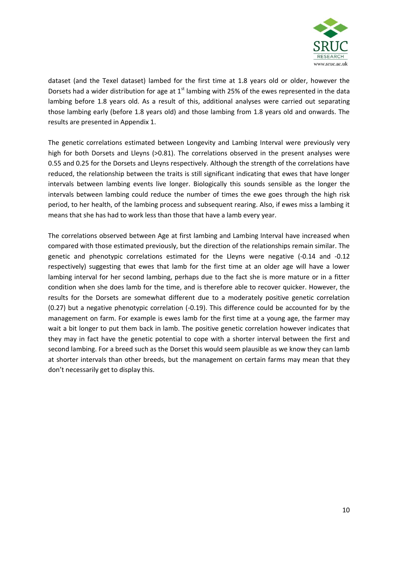

dataset (and the Texel dataset) lambed for the first time at 1.8 years old or older, however the Dorsets had a wider distribution for age at  $1<sup>st</sup>$  lambing with 25% of the ewes represented in the data lambing before 1.8 years old. As a result of this, additional analyses were carried out separating those lambing early (before 1.8 years old) and those lambing from 1.8 years old and onwards. The results are presented in Appendix 1.

The genetic correlations estimated between Longevity and Lambing Interval were previously very high for both Dorsets and Lleyns (>0.81). The correlations observed in the present analyses were 0.55 and 0.25 for the Dorsets and Lleyns respectively. Although the strength of the correlations have reduced, the relationship between the traits is still significant indicating that ewes that have longer intervals between lambing events live longer. Biologically this sounds sensible as the longer the intervals between lambing could reduce the number of times the ewe goes through the high risk period, to her health, of the lambing process and subsequent rearing. Also, if ewes miss a lambing it means that she has had to work less than those that have a lamb every year.

The correlations observed between Age at first lambing and Lambing Interval have increased when compared with those estimated previously, but the direction of the relationships remain similar. The genetic and phenotypic correlations estimated for the Lleyns were negative (-0.14 and -0.12 respectively) suggesting that ewes that lamb for the first time at an older age will have a lower lambing interval for her second lambing, perhaps due to the fact she is more mature or in a fitter condition when she does lamb for the time, and is therefore able to recover quicker. However, the results for the Dorsets are somewhat different due to a moderately positive genetic correlation (0.27) but a negative phenotypic correlation (-0.19). This difference could be accounted for by the management on farm. For example is ewes lamb for the first time at a young age, the farmer may wait a bit longer to put them back in lamb. The positive genetic correlation however indicates that they may in fact have the genetic potential to cope with a shorter interval between the first and second lambing. For a breed such as the Dorset this would seem plausible as we know they can lamb at shorter intervals than other breeds, but the management on certain farms may mean that they don't necessarily get to display this.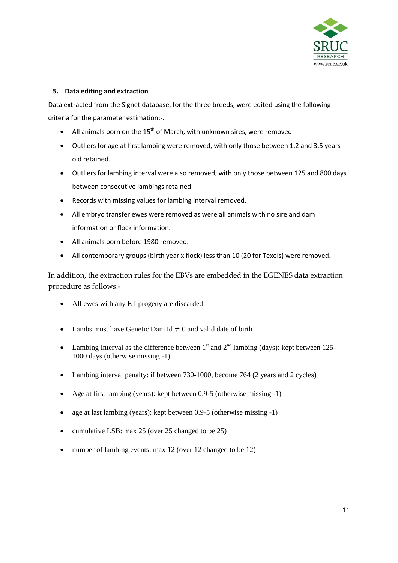

#### **5. Data editing and extraction**

Data extracted from the Signet database, for the three breeds, were edited using the following criteria for the parameter estimation:-.

- All animals born on the  $15<sup>th</sup>$  of March, with unknown sires, were removed.
- Outliers for age at first lambing were removed, with only those between 1.2 and 3.5 years old retained.
- Outliers for lambing interval were also removed, with only those between 125 and 800 days between consecutive lambings retained.
- Records with missing values for lambing interval removed.
- All embryo transfer ewes were removed as were all animals with no sire and dam information or flock information.
- All animals born before 1980 removed.
- All contemporary groups (birth year x flock) less than 10 (20 for Texels) were removed.

In addition, the extraction rules for the EBVs are embedded in the EGENES data extraction procedure as follows:-

- All ewes with any ET progeny are discarded
- Lambs must have Genetic Dam Id  $\neq$  0 and valid date of birth
- Lambing Interval as the difference between  $1<sup>st</sup>$  and  $2<sup>nd</sup>$  lambing (days): kept between 125-1000 days (otherwise missing -1)
- Lambing interval penalty: if between 730-1000, become 764 (2 years and 2 cycles)
- Age at first lambing (years): kept between 0.9-5 (otherwise missing -1)
- age at last lambing (years): kept between 0.9-5 (otherwise missing -1)
- cumulative LSB: max 25 (over 25 changed to be 25)
- number of lambing events: max 12 (over 12 changed to be 12)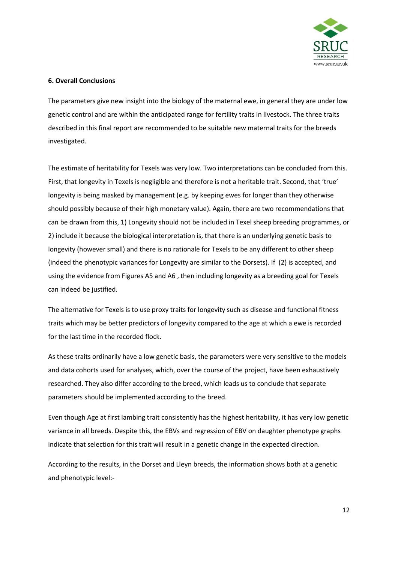

#### **6. Overall Conclusions**

The parameters give new insight into the biology of the maternal ewe, in general they are under low genetic control and are within the anticipated range for fertility traits in livestock. The three traits described in this final report are recommended to be suitable new maternal traits for the breeds investigated.

The estimate of heritability for Texels was very low. Two interpretations can be concluded from this. First, that longevity in Texels is negligible and therefore is not a heritable trait. Second, that 'true' longevity is being masked by management (e.g. by keeping ewes for longer than they otherwise should possibly because of their high monetary value). Again, there are two recommendations that can be drawn from this, 1) Longevity should not be included in Texel sheep breeding programmes, or 2) include it because the biological interpretation is, that there is an underlying genetic basis to longevity (however small) and there is no rationale for Texels to be any different to other sheep (indeed the phenotypic variances for Longevity are similar to the Dorsets). If (2) is accepted, and using the evidence from Figures A5 and A6 , then including longevity as a breeding goal for Texels can indeed be justified.

The alternative for Texels is to use proxy traits for longevity such as disease and functional fitness traits which may be better predictors of longevity compared to the age at which a ewe is recorded for the last time in the recorded flock.

As these traits ordinarily have a low genetic basis, the parameters were very sensitive to the models and data cohorts used for analyses, which, over the course of the project, have been exhaustively researched. They also differ according to the breed, which leads us to conclude that separate parameters should be implemented according to the breed.

Even though Age at first lambing trait consistently has the highest heritability, it has very low genetic variance in all breeds. Despite this, the EBVs and regression of EBV on daughter phenotype graphs indicate that selection for this trait will result in a genetic change in the expected direction.

According to the results, in the Dorset and Lleyn breeds, the information shows both at a genetic and phenotypic level:-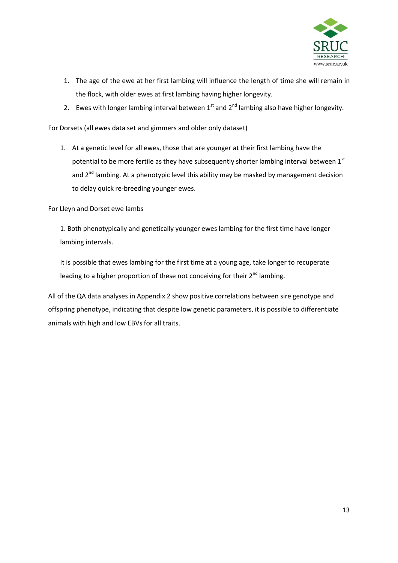

- 1. The age of the ewe at her first lambing will influence the length of time she will remain in the flock, with older ewes at first lambing having higher longevity.
- 2. Ewes with longer lambing interval between  $1<sup>st</sup>$  and  $2<sup>nd</sup>$  lambing also have higher longevity.

For Dorsets (all ewes data set and gimmers and older only dataset)

1. At a genetic level for all ewes, those that are younger at their first lambing have the potential to be more fertile as they have subsequently shorter lambing interval between  $1<sup>st</sup>$ and  $2^{nd}$  lambing. At a phenotypic level this ability may be masked by management decision to delay quick re-breeding younger ewes.

For Lleyn and Dorset ewe lambs

1. Both phenotypically and genetically younger ewes lambing for the first time have longer lambing intervals.

It is possible that ewes lambing for the first time at a young age, take longer to recuperate leading to a higher proportion of these not conceiving for their 2<sup>nd</sup> lambing.

All of the QA data analyses in Appendix 2 show positive correlations between sire genotype and offspring phenotype, indicating that despite low genetic parameters, it is possible to differentiate animals with high and low EBVs for all traits.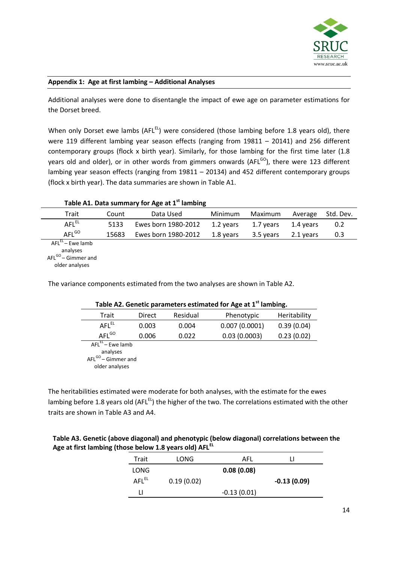

#### **Appendix 1: Age at first lambing – Additional Analyses**

Additional analyses were done to disentangle the impact of ewe age on parameter estimations for the Dorset breed.

When only Dorset ewe lambs (AFLEL) were considered (those lambing before 1.8 years old), there were 119 different lambing year season effects (ranging from 19811 – 20141) and 256 different contemporary groups (flock x birth year). Similarly, for those lambing for the first time later (1.8 years old and older), or in other words from gimmers onwards (AFL<sup>GO</sup>), there were 123 different lambing year season effects (ranging from 19811 – 20134) and 452 different contemporary groups (flock x birth year). The data summaries are shown in Table A1.

#### **Table A1. Data summary for Age at 1st lambing**

| Trait                        | Count | Data Used           | Minimum   | Maximum   | Average   | Std. Dev. |
|------------------------------|-------|---------------------|-----------|-----------|-----------|-----------|
| AFL <sup>EL</sup>            | 5133  | Ewes born 1980-2012 | 1.2 vears | 1.7 vears | 1.4 vears | 0.2       |
| $AFL^{GO}$                   | 15683 | Ewes born 1980-2012 | 1.8 vears | 3.5 years | 2.1 vears | 0.3       |
| AFL <sup>EL</sup> – Ewe lamb |       |                     |           |           |           |           |

analyses AFL<sup>GO</sup> – Gimmer and

older analyses

The variance components estimated from the two analyses are shown in Table A2.

|                                                                                                  | Table A2. Genetic parameters estimated for Age at 1 Tiambing. |          |               |              |  |  |  |  |
|--------------------------------------------------------------------------------------------------|---------------------------------------------------------------|----------|---------------|--------------|--|--|--|--|
| Trait                                                                                            | Direct                                                        | Residual | Phenotypic    | Heritability |  |  |  |  |
| AFL <sup>EL</sup>                                                                                | 0.003                                                         | 0.004    | 0.007(0.0001) | 0.39(0.04)   |  |  |  |  |
| $AFL^{GO}$                                                                                       | 0.006                                                         | 0.022    | 0.03(0.0003)  | 0.23(0.02)   |  |  |  |  |
| $\overline{AFL}^{EL}$ – Ewe lamb<br>analyses<br>AFL <sup>GO</sup> - Gimmer and<br>older analyses |                                                               |          |               |              |  |  |  |  |

## **Table A2. Genetic parameters estimated for Age at 1st lambing.**

The heritabilities estimated were moderate for both analyses, with the estimate for the ewes lambing before 1.8 years old (AFL<sup>EL</sup>) the higher of the two. The correlations estimated with the other traits are shown in Table A3 and A4.

#### **Table A3. Genetic (above diagonal) and phenotypic (below diagonal) correlations between the Age at first lambing (those below 1.8 years old) AFLEL**

| Trait             | LONG       | AFL           |               |
|-------------------|------------|---------------|---------------|
| LONG              |            | 0.08(0.08)    |               |
| AFL <sup>EL</sup> | 0.19(0.02) |               | $-0.13(0.09)$ |
| Ħ                 |            | $-0.13(0.01)$ |               |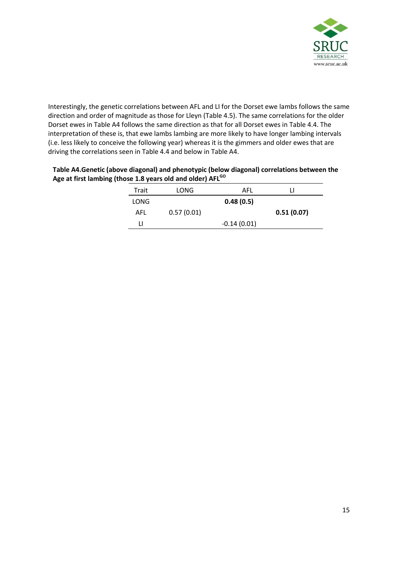

Interestingly, the genetic correlations between AFL and LI for the Dorset ewe lambs follows the same direction and order of magnitude as those for Lleyn (Table 4.5). The same correlations for the older Dorset ewes in Table A4 follows the same direction as that for all Dorset ewes in Table 4.4. The interpretation of these is, that ewe lambs lambing are more likely to have longer lambing intervals (i.e. less likely to conceive the following year) whereas it is the gimmers and older ewes that are driving the correlations seen in Table 4.4 and below in Table A4.

| Table A4. Genetic (above diagonal) and phenotypic (below diagonal) correlations between the |
|---------------------------------------------------------------------------------------------|
| Age at first lambing (those 1.8 years old and older) AFL <sup>GO</sup>                      |

| Trait | LONG       | AFL           |            |
|-------|------------|---------------|------------|
| LONG  |            | 0.48(0.5)     |            |
| AFL   | 0.57(0.01) |               | 0.51(0.07) |
| Н     |            | $-0.14(0.01)$ |            |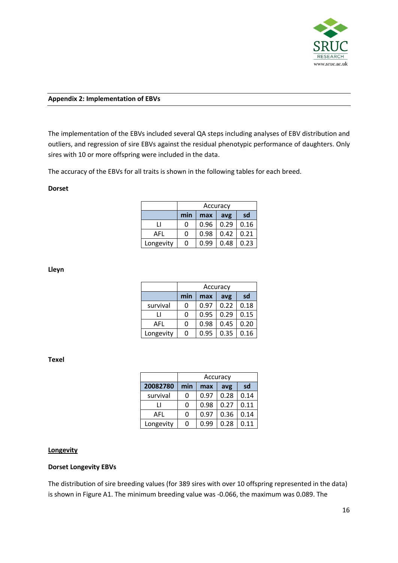

#### **Appendix 2: Implementation of EBVs**

The implementation of the EBVs included several QA steps including analyses of EBV distribution and outliers, and regression of sire EBVs against the residual phenotypic performance of daughters. Only sires with 10 or more offspring were included in the data.

The accuracy of the EBVs for all traits is shown in the following tables for each breed.

#### **Dorset**

|           | Accuracy |                  |      |      |  |  |
|-----------|----------|------------------|------|------|--|--|
|           | min      | sd<br>max<br>avg |      |      |  |  |
| н         | 0        | 0.96             | 0.29 | 0.16 |  |  |
| AFL       | 0        | 0.98             | 0.42 | 0.21 |  |  |
| Longevity | 0        | 0.99             | 0.48 | 0.23 |  |  |

**Lleyn**

|           |     | Accuracy         |      |      |  |  |  |
|-----------|-----|------------------|------|------|--|--|--|
|           | min | sd<br>max<br>avg |      |      |  |  |  |
| survival  | 0   | 0.97             | 0.22 | 0.18 |  |  |  |
| Н         | 0   | 0.95             | 0.29 | 0.15 |  |  |  |
| AFL       | 0   | 0.98             | 0.45 | 0.20 |  |  |  |
| Longevity | 0   | 0.95             | 0.35 | 0.16 |  |  |  |

**Texel**

|           |     | Accuracy         |      |      |  |  |  |
|-----------|-----|------------------|------|------|--|--|--|
| 20082780  | min | sd<br>max<br>avg |      |      |  |  |  |
| survival  | 0   | 0.97             | 0.28 | 0.14 |  |  |  |
| ı۱        | 0   | 0.98             | 0.27 | 0.11 |  |  |  |
| AFL       | 0   | 0.97             | 0.36 | 0.14 |  |  |  |
| Longevity | 0   | 0.99             | 0.28 | 0.11 |  |  |  |

#### **Longevity**

#### **Dorset Longevity EBVs**

The distribution of sire breeding values (for 389 sires with over 10 offspring represented in the data) is shown in Figure A1. The minimum breeding value was -0.066, the maximum was 0.089. The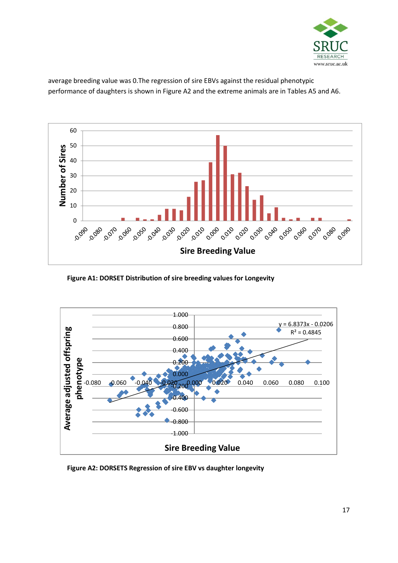

average breeding value was 0.The regression of sire EBVs against the residual phenotypic performance of daughters is shown in Figure A2 and the extreme animals are in Tables A5 and A6.



**Figure A1: DORSET Distribution of sire breeding values for Longevity** 



**Figure A2: DORSETS Regression of sire EBV vs daughter longevity**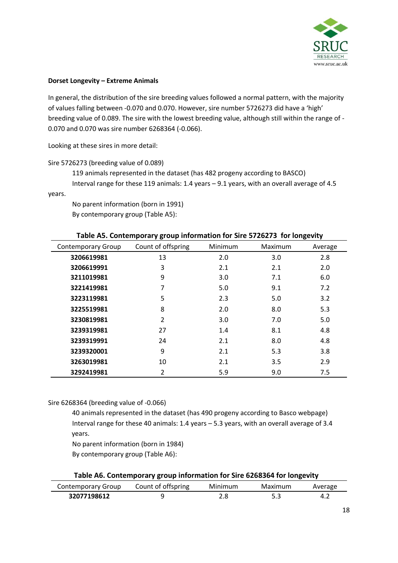

#### **Dorset Longevity – Extreme Animals**

In general, the distribution of the sire breeding values followed a normal pattern, with the majority of values falling between -0.070 and 0.070. However, sire number 5726273 did have a 'high' breeding value of 0.089. The sire with the lowest breeding value, although still within the range of - 0.070 and 0.070 was sire number 6268364 (-0.066).

Looking at these sires in more detail:

Sire 5726273 (breeding value of 0.089)

119 animals represented in the dataset (has 482 progeny according to BASCO) Interval range for these 119 animals: 1.4 years – 9.1 years, with an overall average of 4.5

years.

No parent information (born in 1991) By contemporary group (Table A5):

| <b>Contemporary Group</b> | , o<br>Count of offspring | Minimum | Maximum | -0<br>Average |
|---------------------------|---------------------------|---------|---------|---------------|
| 3206619981                | 13                        | 2.0     | 3.0     | 2.8           |
| 3206619991                | 3                         | 2.1     | 2.1     | 2.0           |
| 3211019981                | 9                         | 3.0     | 7.1     | 6.0           |
| 3221419981                | 7                         | 5.0     | 9.1     | 7.2           |
| 3223119981                | 5                         | 2.3     | 5.0     | 3.2           |
| 3225519981                | 8                         | 2.0     | 8.0     | 5.3           |
| 3230819981                | 2                         | 3.0     | 7.0     | 5.0           |
| 3239319981                | 27                        | 1.4     | 8.1     | 4.8           |
| 3239319991                | 24                        | 2.1     | 8.0     | 4.8           |
| 3239320001                | 9                         | 2.1     | 5.3     | 3.8           |
| 3263019981                | 10                        | 2.1     | 3.5     | 2.9           |
| 3292419981                | 2                         | 5.9     | 9.0     | 7.5           |

#### **Table A5. Contemporary group information for Sire 5726273 for longevity**

Sire 6268364 (breeding value of -0.066)

40 animals represented in the dataset (has 490 progeny according to Basco webpage) Interval range for these 40 animals: 1.4 years – 5.3 years, with an overall average of 3.4 years.

No parent information (born in 1984)

By contemporary group (Table A6):

|                           | Table A6. Contemporary group information for Sire 6268364 for longevity |         |         |         |
|---------------------------|-------------------------------------------------------------------------|---------|---------|---------|
| <b>Contemporary Group</b> | Count of offspring                                                      | Minimum | Maximum | Average |
| 32077198612               | Q                                                                       | 2.8     | 5.3     | 42      |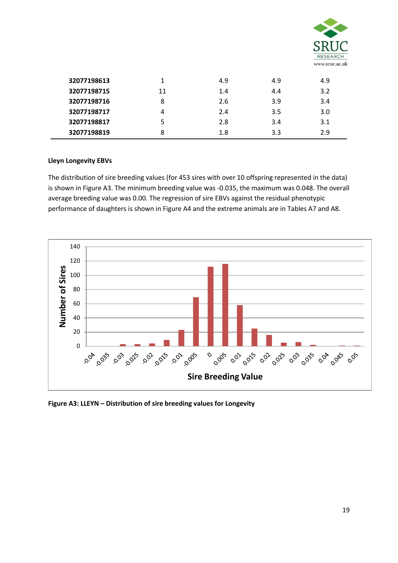

| 32077198613 |    | 4.9 | 4.9 | 4.9 |
|-------------|----|-----|-----|-----|
| 32077198715 | 11 | 1.4 | 4.4 | 3.2 |
| 32077198716 | 8  | 2.6 | 3.9 | 3.4 |
| 32077198717 | Λ  | 2.4 | 3.5 | 3.0 |
| 32077198817 |    | 2.8 | 3.4 | 3.1 |
| 32077198819 | 8  | 1.8 | 3.3 | 2.9 |

#### **Lleyn Longevity EBVs**

The distribution of sire breeding values (for 453 sires with over 10 offspring represented in the data) is shown in Figure A3. The minimum breeding value was -0.035, the maximum was 0.048. The overall average breeding value was 0.00. The regression of sire EBVs against the residual phenotypic performance of daughters is shown in Figure A4 and the extreme animals are in Tables A7 and A8.



**Figure A3: LLEYN – Distribution of sire breeding values for Longevity**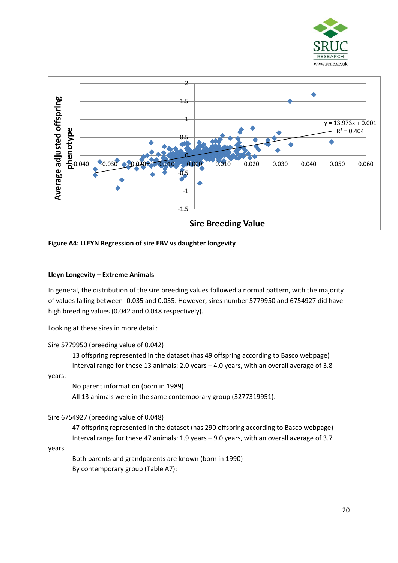



#### **Figure A4: LLEYN Regression of sire EBV vs daughter longevity**

#### **Lleyn Longevity – Extreme Animals**

In general, the distribution of the sire breeding values followed a normal pattern, with the majority of values falling between -0.035 and 0.035. However, sires number 5779950 and 6754927 did have high breeding values (0.042 and 0.048 respectively).

Looking at these sires in more detail:

#### Sire 5779950 (breeding value of 0.042)

13 offspring represented in the dataset (has 49 offspring according to Basco webpage) Interval range for these 13 animals: 2.0 years – 4.0 years, with an overall average of 3.8

years.

No parent information (born in 1989)

All 13 animals were in the same contemporary group (3277319951).

#### Sire 6754927 (breeding value of 0.048)

47 offspring represented in the dataset (has 290 offspring according to Basco webpage) Interval range for these 47 animals: 1.9 years – 9.0 years, with an overall average of 3.7

years.

Both parents and grandparents are known (born in 1990) By contemporary group (Table A7):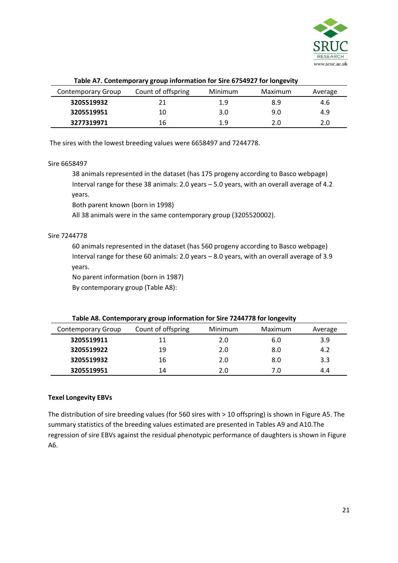

| <b>Contemporary Group</b> | Count of offspring | Minimum | Maximum | Average |
|---------------------------|--------------------|---------|---------|---------|
| 3205519932                | 21                 | 1.9     | 8.9     | 4.6     |
| 3205519951                | 10                 | 3.0     | 9.0     | 4.9     |
| 3277319971                | 16                 | 1.9     | 2.0     | 2.0     |

#### **Table A7. Contemporary group information for Sire 6754927 for longevity**

The sires with the lowest breeding values were 6658497 and 7244778.

#### Sire 6658497

38 animals represented in the dataset (has 175 progeny according to Basco webpage) Interval range for these 38 animals: 2.0 years – 5.0 years, with an overall average of 4.2 years.

Both parent known (born in 1998)

All 38 animals were in the same contemporary group (3205520002).

#### Sire 7244778

60 animals represented in the dataset (has 560 progeny according to Basco webpage) Interval range for these 60 animals: 2.0 years – 8.0 years, with an overall average of 3.9 years.

No parent information (born in 1987)

By contemporary group (Table A8):

| Contemporary Group | Count of offspring | Minimum | Maximum | Average |
|--------------------|--------------------|---------|---------|---------|
| 3205519911         | 11                 | 2.0     | 6.0     | 3.9     |
| 3205519922         | 19                 | 2.0     | 8.0     | 4.2     |
| 3205519932         | 16                 | 2.0     | 8.0     | 3.3     |
| 3205519951         | 14                 | 2.0     | 7.0     | 4.4     |

#### **Table A8. Contemporary group information for Sire 7244778 for longevity**

#### **Texel Longevity EBVs**

The distribution of sire breeding values (for 560 sires with > 10 offspring) is shown in Figure A5. The summary statistics of the breeding values estimated are presented in Tables A9 and A10.The regression of sire EBVs against the residual phenotypic performance of daughters is shown in Figure A6.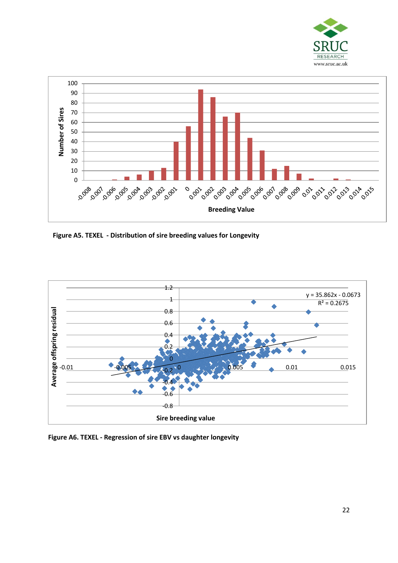



**Figure A5. TEXEL - Distribution of sire breeding values for Longevity** 



**Figure A6. TEXEL - Regression of sire EBV vs daughter longevity**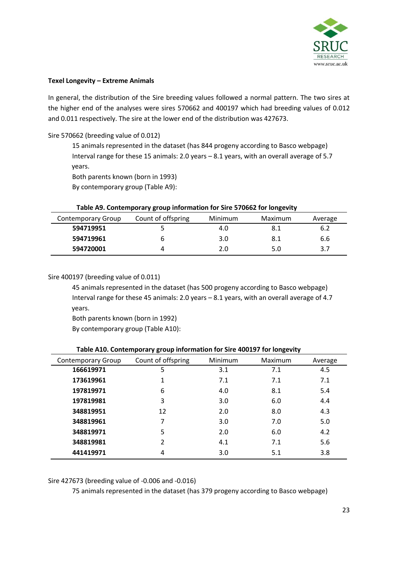

#### **Texel Longevity – Extreme Animals**

In general, the distribution of the Sire breeding values followed a normal pattern. The two sires at the higher end of the analyses were sires 570662 and 400197 which had breeding values of 0.012 and 0.011 respectively. The sire at the lower end of the distribution was 427673.

#### Sire 570662 (breeding value of 0.012)

15 animals represented in the dataset (has 844 progeny according to Basco webpage) Interval range for these 15 animals: 2.0 years – 8.1 years, with an overall average of 5.7 years.

Both parents known (born in 1993)

By contemporary group (Table A9):

# **Table A9. Contemporary group information for Sire 570662 for longevity** Contemporary Group Count of offspring Minimum Maximum Average

| Contemporary Group | Count of offspring | Minimum | Maximum | Average |
|--------------------|--------------------|---------|---------|---------|
| 594719951          |                    | 4.0     |         | 6.2     |
| 594719961          |                    | 3.0     | 8.1     | 6.6     |
| 594720001          |                    | 2.0     | 5.0     |         |

#### Sire 400197 (breeding value of 0.011)

45 animals represented in the dataset (has 500 progeny according to Basco webpage) Interval range for these 45 animals: 2.0 years – 8.1 years, with an overall average of 4.7 years.

Both parents known (born in 1992)

By contemporary group (Table A10):

|                           | <b>Table Alor Contemporary group information for Sire 400157 for iongevity</b> |         |         |         |
|---------------------------|--------------------------------------------------------------------------------|---------|---------|---------|
| <b>Contemporary Group</b> | Count of offspring                                                             | Minimum | Maximum | Average |
| 166619971                 | 5                                                                              | 3.1     | 7.1     | 4.5     |
| 173619961                 | 1                                                                              | 7.1     | 7.1     | 7.1     |
| 197819971                 | 6                                                                              | 4.0     | 8.1     | 5.4     |
| 197819981                 | 3                                                                              | 3.0     | 6.0     | 4.4     |
| 348819951                 | 12                                                                             | 2.0     | 8.0     | 4.3     |
| 348819961                 | 7                                                                              | 3.0     | 7.0     | 5.0     |
| 348819971                 | 5                                                                              | 2.0     | 6.0     | 4.2     |
| 348819981                 | 2                                                                              | 4.1     | 7.1     | 5.6     |
| 441419971                 | 4                                                                              | 3.0     | 5.1     | 3.8     |
|                           |                                                                                |         |         |         |

#### **Table A10. Contemporary group information for Sire 400197 for longevity**

Sire 427673 (breeding value of -0.006 and -0.016)

75 animals represented in the dataset (has 379 progeny according to Basco webpage)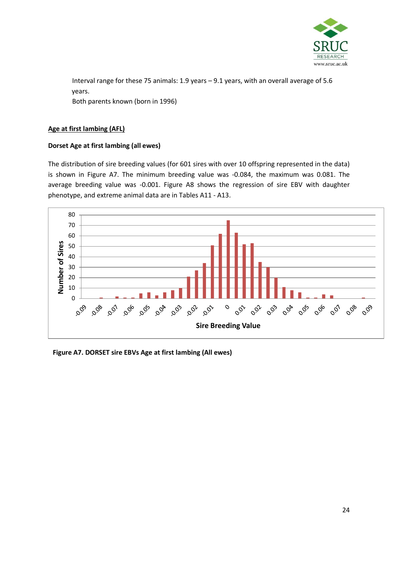

Interval range for these 75 animals: 1.9 years – 9.1 years, with an overall average of 5.6 years. Both parents known (born in 1996)

#### **Age at first lambing (AFL)**

#### **Dorset Age at first lambing (all ewes)**

The distribution of sire breeding values (for 601 sires with over 10 offspring represented in the data) is shown in Figure A7. The minimum breeding value was -0.084, the maximum was 0.081. The average breeding value was -0.001. Figure A8 shows the regression of sire EBV with daughter phenotype, and extreme animal data are in Tables A11 - A13.



**Figure A7. DORSET sire EBVs Age at first lambing (All ewes)**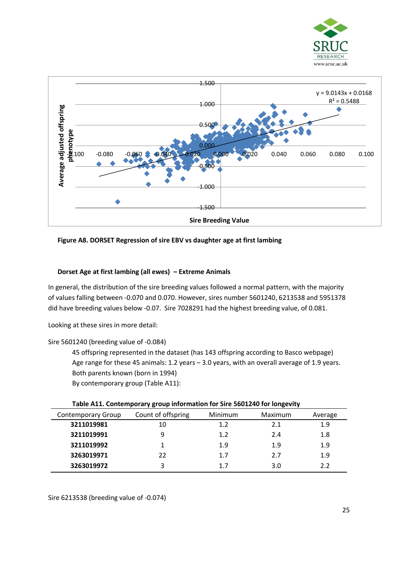



#### **Figure A8. DORSET Regression of sire EBV vs daughter age at first lambing**

#### **Dorset Age at first lambing (all ewes) – Extreme Animals**

In general, the distribution of the sire breeding values followed a normal pattern, with the majority of values falling between -0.070 and 0.070. However, sires number 5601240, 6213538 and 5951378 did have breeding values below -0.07. Sire 7028291 had the highest breeding value, of 0.081.

Looking at these sires in more detail:

Sire 5601240 (breeding value of -0.084)

45 offspring represented in the dataset (has 143 offspring according to Basco webpage) Age range for these 45 animals: 1.2 years – 3.0 years, with an overall average of 1.9 years. Both parents known (born in 1994) By contemporary group (Table A11):

|                           | Table AII. Contemporary group imormation for Sire Soutzwell for idigevity |         |         |         |
|---------------------------|---------------------------------------------------------------------------|---------|---------|---------|
| <b>Contemporary Group</b> | Count of offspring                                                        | Minimum | Maximum | Average |
| 3211019981                | 10                                                                        | 1.2     | 2.1     | 1.9     |
| 3211019991                | 9                                                                         | 1.2     | 2.4     | 1.8     |
| 3211019992                |                                                                           | 1.9     | 1.9     | 1.9     |
| 3263019971                | 22                                                                        | 1.7     | 2.7     | 1.9     |
| 3263019972                | 3                                                                         | 1.7     | 3.0     | 2.2     |

#### **Table A11. Contemporary group information for Sire 5601240 for longevity**

Sire 6213538 (breeding value of -0.074)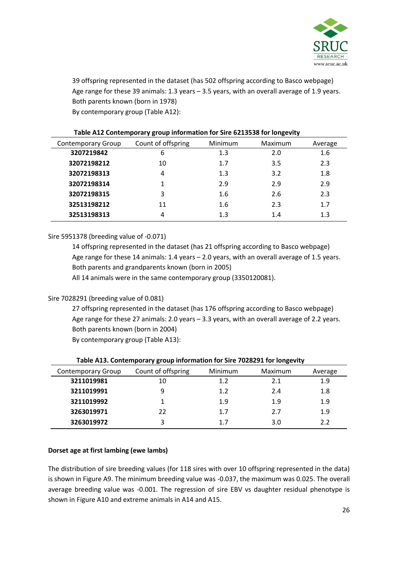

39 offspring represented in the dataset (has 502 offspring according to Basco webpage) Age range for these 39 animals: 1.3 years – 3.5 years, with an overall average of 1.9 years. Both parents known (born in 1978) By contemporary group (Table A12):

|                           | . .                |         |         |         |
|---------------------------|--------------------|---------|---------|---------|
| <b>Contemporary Group</b> | Count of offspring | Minimum | Maximum | Average |
| 3207219842                | 6                  | 1.3     | 2.0     | 1.6     |
| 32072198212               | 10                 | 1.7     | 3.5     | 2.3     |
| 32072198313               | 4                  | 1.3     | 3.2     | 1.8     |
| 32072198314               |                    | 2.9     | 2.9     | 2.9     |
| 32072198315               | 3                  | 1.6     | 2.6     | 2.3     |
| 32513198212               | 11                 | 1.6     | 2.3     | 1.7     |
| 32513198313               | 4                  | 1.3     | 1.4     | 1.3     |

#### **Table A12 Contemporary group information for Sire 6213538 for longevity**

#### Sire 5951378 (breeding value of -0.071)

14 offspring represented in the dataset (has 21 offspring according to Basco webpage) Age range for these 14 animals: 1.4 years – 2.0 years, with an overall average of 1.5 years. Both parents and grandparents known (born in 2005)

All 14 animals were in the same contemporary group (3350120081).

#### Sire 7028291 (breeding value of 0.081)

27 offspring represented in the dataset (has 176 offspring according to Basco webpage) Age range for these 27 animals: 2.0 years – 3.3 years, with an overall average of 2.2 years. Both parents known (born in 2004)

By contemporary group (Table A13):

|                           | . .                |         |         |         |
|---------------------------|--------------------|---------|---------|---------|
| <b>Contemporary Group</b> | Count of offspring | Minimum | Maximum | Average |
| 3211019981                | 10                 | 1.2     | 2.1     | 1.9     |
| 3211019991                | 9                  | 1.2     | 2.4     | 1.8     |
| 3211019992                |                    | 1.9     | 1.9     | 1.9     |
| 3263019971                | 22                 | 1.7     | 2.7     | 1.9     |
| 3263019972                | 3                  | 1.7     | 3.0     | 2.2     |
|                           |                    |         |         |         |

#### **Table A13. Contemporary group information for Sire 7028291 for longevity**

#### **Dorset age at first lambing (ewe lambs)**

The distribution of sire breeding values (for 118 sires with over 10 offspring represented in the data) is shown in Figure A9. The minimum breeding value was -0.037, the maximum was 0.025. The overall average breeding value was -0.001. The regression of sire EBV vs daughter residual phenotype is shown in Figure A10 and extreme animals in A14 and A15.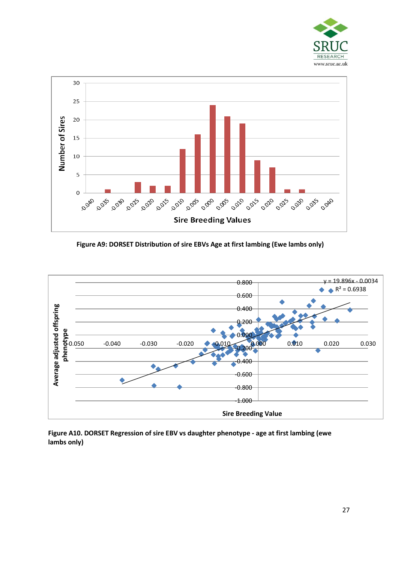



**Figure A9: DORSET Distribution of sire EBVs Age at first lambing (Ewe lambs only)**



**Figure A10. DORSET Regression of sire EBV vs daughter phenotype - age at first lambing (ewe lambs only)**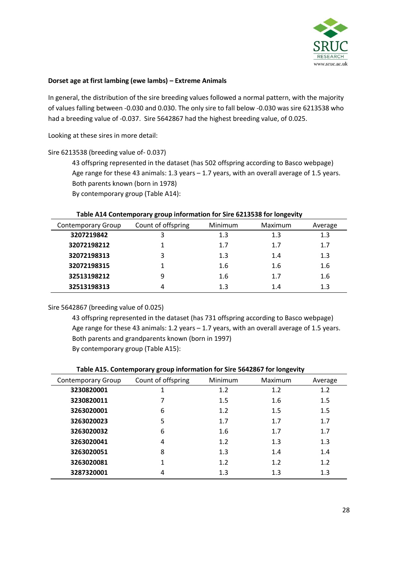

#### **Dorset age at first lambing (ewe lambs) – Extreme Animals**

In general, the distribution of the sire breeding values followed a normal pattern, with the majority of values falling between -0.030 and 0.030. The only sire to fall below -0.030 was sire 6213538 who had a breeding value of -0.037. Sire 5642867 had the highest breeding value, of 0.025.

Looking at these sires in more detail:

#### Sire 6213538 (breeding value of- 0.037)

43 offspring represented in the dataset (has 502 offspring according to Basco webpage) Age range for these 43 animals: 1.3 years  $-1.7$  years, with an overall average of 1.5 years. Both parents known (born in 1978) By contemporary group (Table A14):

| <b>Contemporary Group</b> | Count of offspring | Minimum | Maximum | Average |
|---------------------------|--------------------|---------|---------|---------|
| 3207219842                | 3                  | 1.3     | 1.3     | 1.3     |
| 32072198212               |                    | 1.7     | 1.7     | 1.7     |
| 32072198313               | 3                  | 1.3     | 1.4     | 1.3     |
| 32072198315               |                    | 1.6     | 1.6     | 1.6     |
| 32513198212               | ٩                  | 1.6     | 1.7     | 1.6     |
| 32513198313               |                    | 1.3     | 1.4     | 1.3     |
|                           |                    |         |         |         |

#### **Table A14 Contemporary group information for Sire 6213538 for longevity**

#### Sire 5642867 (breeding value of 0.025)

43 offspring represented in the dataset (has 731 offspring according to Basco webpage) Age range for these 43 animals: 1.2 years – 1.7 years, with an overall average of 1.5 years. Both parents and grandparents known (born in 1997) By contemporary group (Table A15):

|                           | rable AIS. Contemporary group imormation for sire so42607 for iongevity |         |         |         |
|---------------------------|-------------------------------------------------------------------------|---------|---------|---------|
| <b>Contemporary Group</b> | Count of offspring                                                      | Minimum | Maximum | Average |
| 3230820001                |                                                                         | 1.2     | 1.2     | 1.2     |
| 3230820011                | 7                                                                       | 1.5     | 1.6     | 1.5     |
| 3263020001                | 6                                                                       | 1.2     | 1.5     | 1.5     |
| 3263020023                | 5                                                                       | 1.7     | 1.7     | 1.7     |
| 3263020032                | 6                                                                       | 1.6     | 1.7     | 1.7     |
| 3263020041                | 4                                                                       | 1.2     | 1.3     | 1.3     |
| 3263020051                | 8                                                                       | 1.3     | 1.4     | 1.4     |
| 3263020081                | 1                                                                       | 1.2     | 1.2     | 1.2     |
| 3287320001                | 4                                                                       | 1.3     | 1.3     | 1.3     |

| Table A15. Contemporary group information for Sire 5642867 for longevity |
|--------------------------------------------------------------------------|
|--------------------------------------------------------------------------|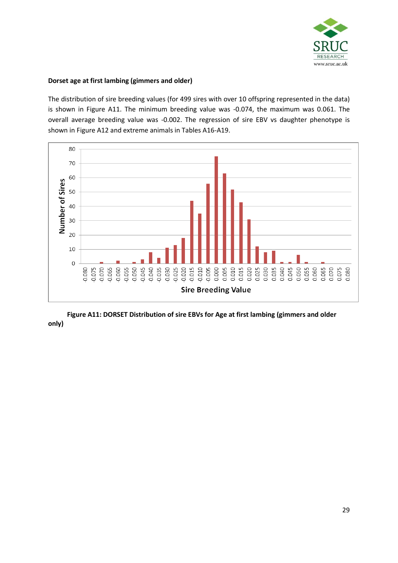

#### **Dorset age at first lambing (gimmers and older)**

The distribution of sire breeding values (for 499 sires with over 10 offspring represented in the data) is shown in Figure A11. The minimum breeding value was -0.074, the maximum was 0.061. The overall average breeding value was -0.002. The regression of sire EBV vs daughter phenotype is shown in Figure A12 and extreme animals in Tables A16-A19.



**Figure A11: DORSET Distribution of sire EBVs for Age at first lambing (gimmers and older only)**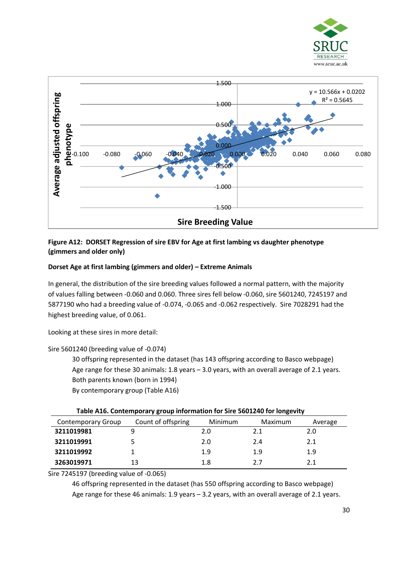



#### **Figure A12: DORSET Regression of sire EBV for Age at first lambing vs daughter phenotype (gimmers and older only)**

#### **Dorset Age at first lambing (gimmers and older) – Extreme Animals**

In general, the distribution of the sire breeding values followed a normal pattern, with the majority of values falling between -0.060 and 0.060. Three sires fell below -0.060, sire 5601240, 7245197 and 5877190 who had a breeding value of -0.074, -0.065 and -0.062 respectively. Sire 7028291 had the highest breeding value, of 0.061.

Looking at these sires in more detail:

Sire 5601240 (breeding value of -0.074)

30 offspring represented in the dataset (has 143 offspring according to Basco webpage) Age range for these 30 animals: 1.8 years – 3.0 years, with an overall average of 2.1 years. Both parents known (born in 1994) By contemporary group (Table A16)

|                           | <b>1896 ALD: CONCHIPORTY STORP INTO MORTON TOF SITE SOULE TO TONSCYTLY</b> |         |         |         |  |
|---------------------------|----------------------------------------------------------------------------|---------|---------|---------|--|
| <b>Contemporary Group</b> | Count of offspring                                                         | Minimum | Maximum | Average |  |
| 3211019981                |                                                                            | 2.0     | 2.1     | 2.0     |  |
| 3211019991                |                                                                            | 2.0     | 2.4     | 2.1     |  |
| 3211019992                |                                                                            | 1.9     | 1.9     | 1.9     |  |
| 3263019971                | 13                                                                         | 1.8     | 77      | 2.1     |  |

#### **Table A16. Contemporary group information for Sire 5601240 for longevity**

Sire 7245197 (breeding value of -0.065)

46 offspring represented in the dataset (has 550 offspring according to Basco webpage) Age range for these 46 animals: 1.9 years – 3.2 years, with an overall average of 2.1 years.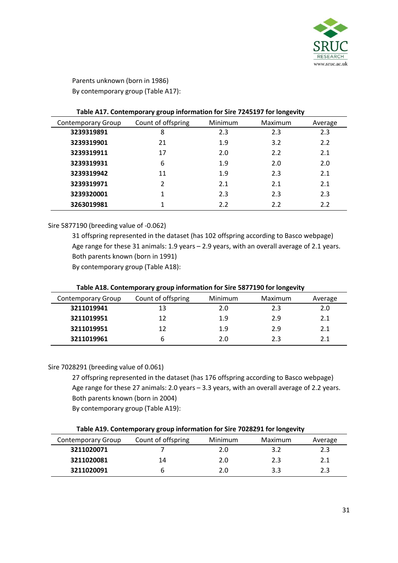

Parents unknown (born in 1986) By contemporary group (Table A17):

| <b>Contemporary Group</b> | Count of offspring | Minimum | Maximum | Average |
|---------------------------|--------------------|---------|---------|---------|
| 3239319891                | 8                  | 2.3     | 2.3     | 2.3     |
| 3239319901                | 21                 | 1.9     | 3.2     | 2.2     |
| 3239319911                | 17                 | 2.0     | 2.2     | 2.1     |
| 3239319931                | 6                  | 1.9     | 2.0     | 2.0     |
| 3239319942                | 11                 | 1.9     | 2.3     | 2.1     |
| 3239319971                | 2                  | 2.1     | 2.1     | 2.1     |
| 3239320001                | 1                  | 2.3     | 2.3     | 2.3     |
| 3263019981                |                    | 2.2     | 2.2     | 2.2     |
|                           |                    |         |         |         |

#### **Table A17. Contemporary group information for Sire 7245197 for longevity**

#### Sire 5877190 (breeding value of -0.062)

31 offspring represented in the dataset (has 102 offspring according to Basco webpage) Age range for these 31 animals: 1.9 years – 2.9 years, with an overall average of 2.1 years. Both parents known (born in 1991)

By contemporary group (Table A18):

| <b>Contemporary Group</b> | Count of offspring | Minimum | Maximum | Average |  |
|---------------------------|--------------------|---------|---------|---------|--|
| 3211019941                | 13                 | 2.0     | 2.3     | 2.0     |  |
| 3211019951                | 12                 | 1.9     | 2.9     | 2.1     |  |
| 3211019951                | 12                 | 1.9     | 2.9     | 2.1     |  |
| 3211019961                | ь                  | 2.0     | 2.3     | 2.1     |  |

#### **Table A18. Contemporary group information for Sire 5877190 for longevity**

#### Sire 7028291 (breeding value of 0.061)

27 offspring represented in the dataset (has 176 offspring according to Basco webpage) Age range for these 27 animals: 2.0 years – 3.3 years, with an overall average of 2.2 years. Both parents known (born in 2004)

By contemporary group (Table A19):

| Table A19. Contemporary group information for Sire 7028291 for longevity |                    |         |         |         |
|--------------------------------------------------------------------------|--------------------|---------|---------|---------|
| <b>Contemporary Group</b>                                                | Count of offspring | Minimum | Maximum | Average |
| 3211020071                                                               |                    | 2.0     | 3.2     | 2.3     |
| 3211020081                                                               | 14                 | 2.0     | 2.3     | 2.1     |
| 3211020091                                                               | b                  | 2.0     | 3.3     | 2.3     |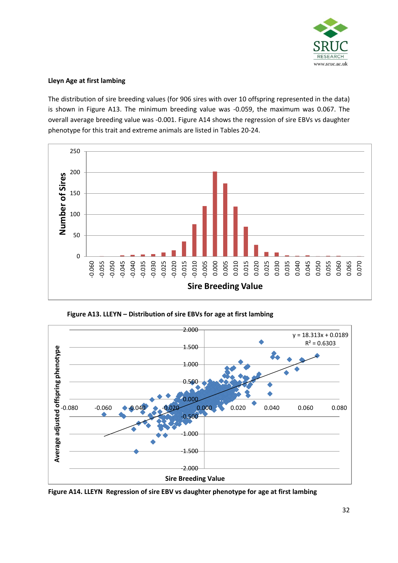

#### **Lleyn Age at first lambing**

The distribution of sire breeding values (for 906 sires with over 10 offspring represented in the data) is shown in Figure A13. The minimum breeding value was -0.059, the maximum was 0.067. The overall average breeding value was -0.001. Figure A14 shows the regression of sire EBVs vs daughter phenotype for this trait and extreme animals are listed in Tables 20-24.



**Figure A13. LLEYN – Distribution of sire EBVs for age at first lambing**



**Figure A14. LLEYN Regression of sire EBV vs daughter phenotype for age at first lambing**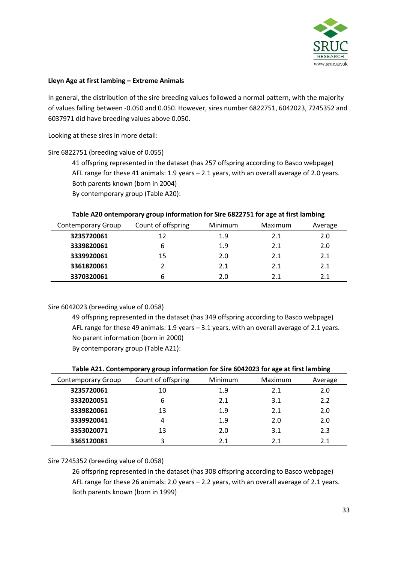

#### **Lleyn Age at first lambing – Extreme Animals**

In general, the distribution of the sire breeding values followed a normal pattern, with the majority of values falling between -0.050 and 0.050. However, sires number 6822751, 6042023, 7245352 and 6037971 did have breeding values above 0.050.

Looking at these sires in more detail:

#### Sire 6822751 (breeding value of 0.055)

41 offspring represented in the dataset (has 257 offspring according to Basco webpage) AFL range for these 41 animals: 1.9 years – 2.1 years, with an overall average of 2.0 years. Both parents known (born in 2004) By contemporary group (Table A20):

|                           | . .                |                |         |         |
|---------------------------|--------------------|----------------|---------|---------|
| <b>Contemporary Group</b> | Count of offspring | <b>Minimum</b> | Maximum | Average |
| 3235720061                | 12                 | 1.9            | 2.1     | 2.0     |
| 3339820061                | 6                  | 1.9            | 2.1     | 2.0     |
| 3339920061                | 15                 | 2.0            | 2.1     | 2.1     |
| 3361820061                |                    | 2.1            | 2.1     | 2.1     |
| 3370320061                | 6                  | 2.0            | 2.1     | 2.1     |

#### **Table A20 ontemporary group information for Sire 6822751 for age at first lambing**

#### Sire 6042023 (breeding value of 0.058)

49 offspring represented in the dataset (has 349 offspring according to Basco webpage) AFL range for these 49 animals: 1.9 years – 3.1 years, with an overall average of 2.1 years. No parent information (born in 2000) By contemporary group (Table A21):

| Table A21. Contemporary group information for Sire 6042023 for age at first lambing |                    |         |         |         |  |
|-------------------------------------------------------------------------------------|--------------------|---------|---------|---------|--|
| <b>Contemporary Group</b>                                                           | Count of offspring | Minimum | Maximum | Average |  |
| 3235720061                                                                          | 10                 | 1.9     | 2.1     | 2.0     |  |
| 3332020051                                                                          | 6                  | 2.1     | 3.1     | 2.2     |  |
| 3339820061                                                                          | 13                 | 1.9     | 2.1     | 2.0     |  |
| 3339920041                                                                          | 4                  | 1.9     | 2.0     | 2.0     |  |
| 3353020071                                                                          | 13                 | 2.0     | 3.1     | 2.3     |  |
| 3365120081                                                                          | 3                  | 2.1     | 2.1     | 2.1     |  |

#### **Table A21. Contemporary group information for Sire 6042023 for age at first lambing**

#### Sire 7245352 (breeding value of 0.058)

26 offspring represented in the dataset (has 308 offspring according to Basco webpage) AFL range for these 26 animals: 2.0 years – 2.2 years, with an overall average of 2.1 years. Both parents known (born in 1999)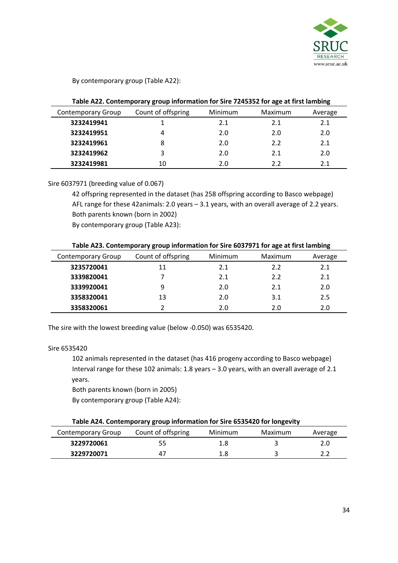

By contemporary group (Table A22):

|                           | Table ALL, Contemporary group information for one 7243332 for age at mot famolity |         |         |         |  |
|---------------------------|-----------------------------------------------------------------------------------|---------|---------|---------|--|
| <b>Contemporary Group</b> | Count of offspring                                                                | Minimum | Maximum | Average |  |
| 3232419941                |                                                                                   | 2.1     | 2.1     | 2.1     |  |
| 3232419951                | 4                                                                                 | 2.0     | 2.0     | 2.0     |  |
| 3232419961                | 8                                                                                 | 2.0     | 2.2     | 2.1     |  |
| 3232419962                | 3                                                                                 | 2.0     | 2.1     | 2.0     |  |
| 3232419981                | 10                                                                                | 2.0     | 2.2     | 2.1     |  |

## **Table A22. Contemporary group information for Sire 7245352 for age at first lambing**

#### Sire 6037971 (breeding value of 0.067)

42 offspring represented in the dataset (has 258 offspring according to Basco webpage) AFL range for these 42animals: 2.0 years – 3.1 years, with an overall average of 2.2 years. Both parents known (born in 2002)

By contemporary group (Table A23):

| Table A23. Contemporary group information for Sire 6037971 for age at first lambing |  |
|-------------------------------------------------------------------------------------|--|
|-------------------------------------------------------------------------------------|--|

| <b>Contemporary Group</b> | Count of offspring | <b>Minimum</b> | Maximum | Average |
|---------------------------|--------------------|----------------|---------|---------|
| 3235720041                | 11                 | 2.1            | 2.2     | 2.1     |
| 3339820041                |                    | 2.1            | 2.2     | 2.1     |
| 3339920041                | 9                  | 2.0            | 2.1     | 2.0     |
| 3358320041                | 13                 | 2.0            | 3.1     | 2.5     |
| 3358320061                |                    | 2.0            | 2.0     | 2.0     |

The sire with the lowest breeding value (below -0.050) was 6535420.

#### Sire 6535420

102 animals represented in the dataset (has 416 progeny according to Basco webpage) Interval range for these 102 animals: 1.8 years – 3.0 years, with an overall average of 2.1 years.

Both parents known (born in 2005)

By contemporary group (Table A24):

#### **Table A24. Contemporary group information for Sire 6535420 for longevity**

| Contemporary Group | Count of offspring | Minimum | Maximum | Average |
|--------------------|--------------------|---------|---------|---------|
| 3229720061         | 55                 |         |         | 2.0     |
| 3229720071         | 47                 | 1.8     |         |         |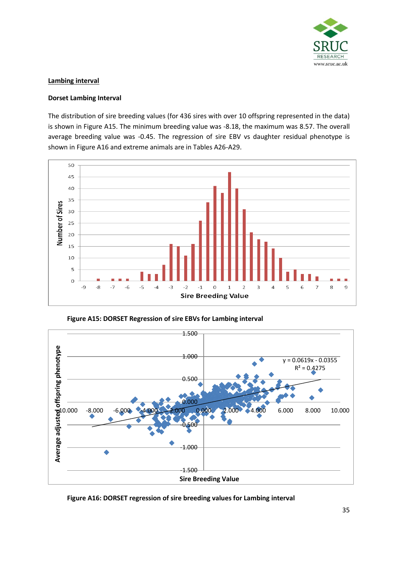

#### **Lambing interval**

#### **Dorset Lambing Interval**

The distribution of sire breeding values (for 436 sires with over 10 offspring represented in the data) is shown in Figure A15. The minimum breeding value was -8.18, the maximum was 8.57. The overall average breeding value was -0.45. The regression of sire EBV vs daughter residual phenotype is shown in Figure A16 and extreme animals are in Tables A26-A29.



**Figure A15: DORSET Regression of sire EBVs for Lambing interval**



**Figure A16: DORSET regression of sire breeding values for Lambing interval**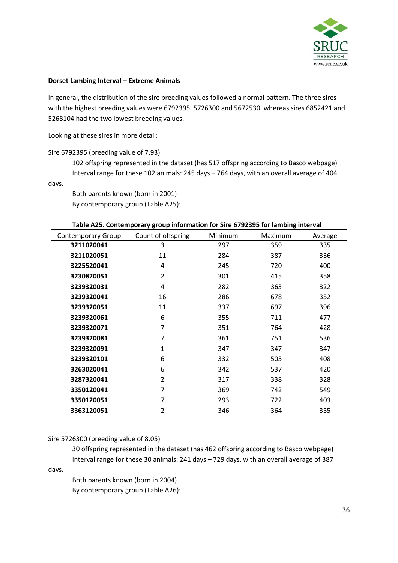

#### **Dorset Lambing Interval – Extreme Animals**

In general, the distribution of the sire breeding values followed a normal pattern. The three sires with the highest breeding values were 6792395, 5726300 and 5672530, whereas sires 6852421 and 5268104 had the two lowest breeding values.

Looking at these sires in more detail:

Sire 6792395 (breeding value of 7.93)

102 offspring represented in the dataset (has 517 offspring according to Basco webpage) Interval range for these 102 animals: 245 days – 764 days, with an overall average of 404

days.

Both parents known (born in 2001) By contemporary group (Table A25):

| <b>Contemporary Group</b> | Count of offspring | Minimum | Maximum | Average |
|---------------------------|--------------------|---------|---------|---------|
| 3211020041                | 3                  | 297     | 359     | 335     |
| 3211020051                | 11                 | 284     | 387     | 336     |
| 3225520041                | 4                  | 245     | 720     | 400     |
| 3230820051                | 2                  | 301     | 415     | 358     |
| 3239320031                | 4                  | 282     | 363     | 322     |
| 3239320041                | 16                 | 286     | 678     | 352     |
| 3239320051                | 11                 | 337     | 697     | 396     |
| 3239320061                | 6                  | 355     | 711     | 477     |
| 3239320071                | 7                  | 351     | 764     | 428     |
| 3239320081                | 7                  | 361     | 751     | 536     |
| 3239320091                | 1                  | 347     | 347     | 347     |
| 3239320101                | 6                  | 332     | 505     | 408     |
| 3263020041                | 6                  | 342     | 537     | 420     |
| 3287320041                | $\overline{2}$     | 317     | 338     | 328     |
| 3350120041                | 7                  | 369     | 742     | 549     |
| 3350120051                | 7                  | 293     | 722     | 403     |
| 3363120051                | 2                  | 346     | 364     | 355     |

#### **Table A25. Contemporary group information for Sire 6792395 for lambing interval**

Sire 5726300 (breeding value of 8.05)

30 offspring represented in the dataset (has 462 offspring according to Basco webpage) Interval range for these 30 animals: 241 days – 729 days, with an overall average of 387

days. Both parents known (born in 2004)

By contemporary group (Table A26):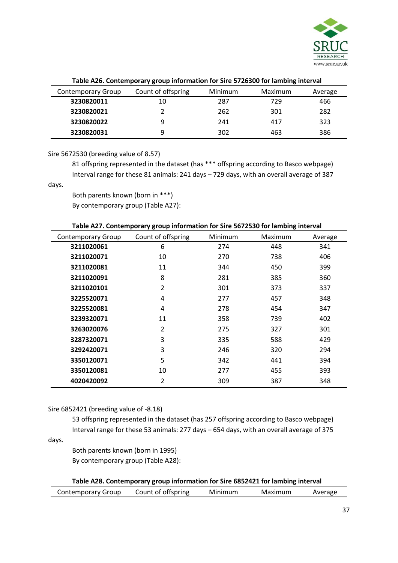

| <b>Contemporary Group</b> | Count of offspring | Minimum | Maximum | Average |
|---------------------------|--------------------|---------|---------|---------|
| 3230820011                | 10                 | 287     | 729     | 466     |
| 3230820021                |                    | 262     | 301     | 282     |
| 3230820022                | q                  | 241     | 417     | 323     |
| 3230820031                | 9                  | 302     | 463     | 386     |

#### **Table A26. Contemporary group information for Sire 5726300 for lambing interval**

Sire 5672530 (breeding value of 8.57)

81 offspring represented in the dataset (has \*\*\* offspring according to Basco webpage) Interval range for these 81 animals: 241 days – 729 days, with an overall average of 387 days.

Both parents known (born in \*\*\*) By contemporary group (Table A27):

|  |  |  |  |  | Table A27. Contemporary group information for Sire 5672530 for lambing interval |
|--|--|--|--|--|---------------------------------------------------------------------------------|
|--|--|--|--|--|---------------------------------------------------------------------------------|

| <b>Contemporary Group</b> | Count of offspring | Minimum | Maximum | Average |
|---------------------------|--------------------|---------|---------|---------|
| 3211020061                | 6                  | 274     | 448     | 341     |
| 3211020071                | 10                 | 270     | 738     | 406     |
| 3211020081                | 11                 | 344     | 450     | 399     |
| 3211020091                | 8                  | 281     | 385     | 360     |
| 3211020101                | $\overline{2}$     | 301     | 373     | 337     |
| 3225520071                | 4                  | 277     | 457     | 348     |
| 3225520081                | 4                  | 278     | 454     | 347     |
| 3239320071                | 11                 | 358     | 739     | 402     |
| 3263020076                | $\overline{2}$     | 275     | 327     | 301     |
| 3287320071                | 3                  | 335     | 588     | 429     |
| 3292420071                | 3                  | 246     | 320     | 294     |
| 3350120071                | 5                  | 342     | 441     | 394     |
| 3350120081                | 10                 | 277     | 455     | 393     |
| 4020420092                | 2                  | 309     | 387     | 348     |

#### Sire 6852421 (breeding value of -8.18)

53 offspring represented in the dataset (has 257 offspring according to Basco webpage) Interval range for these 53 animals: 277 days – 654 days, with an overall average of 375

days.

Both parents known (born in 1995) By contemporary group (Table A28):

| Table A28. Contemporary group information for Sire 6852421 for lambing interval |                    |         |         |         |  |
|---------------------------------------------------------------------------------|--------------------|---------|---------|---------|--|
| Contemporary Group                                                              | Count of offspring | Minimum | Maximum | Average |  |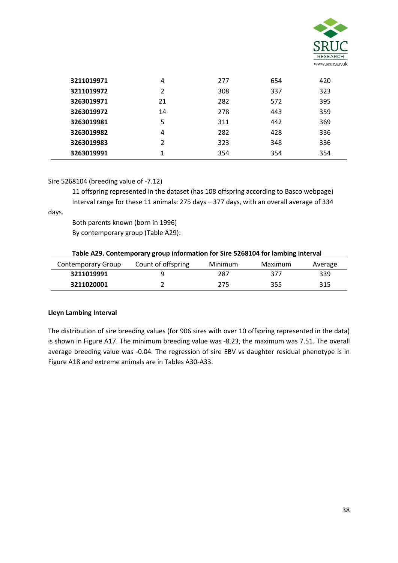

| 3211019971 | 4  | 277 | 654 | 420 |
|------------|----|-----|-----|-----|
| 3211019972 | 2  | 308 | 337 | 323 |
| 3263019971 | 21 | 282 | 572 | 395 |
| 3263019972 | 14 | 278 | 443 | 359 |
| 3263019981 | 5  | 311 | 442 | 369 |
| 3263019982 | 4  | 282 | 428 | 336 |
| 3263019983 | 2  | 323 | 348 | 336 |
| 3263019991 |    | 354 | 354 | 354 |
|            |    |     |     |     |

#### Sire 5268104 (breeding value of -7.12)

11 offspring represented in the dataset (has 108 offspring according to Basco webpage) Interval range for these 11 animals: 275 days – 377 days, with an overall average of 334

days.

Both parents known (born in 1996) By contemporary group (Table A29):

| Table A29. Contemporary group information for Sire 5268104 for lambing interval |                    |         |         |         |  |
|---------------------------------------------------------------------------------|--------------------|---------|---------|---------|--|
| Contemporary Group                                                              | Count of offspring | Minimum | Maximum | Average |  |
| 3211019991                                                                      |                    | 287     | 377     | 339     |  |
| 3211020001                                                                      |                    | 275     | 355     | 315     |  |

#### **Lleyn Lambing Interval**

The distribution of sire breeding values (for 906 sires with over 10 offspring represented in the data) is shown in Figure A17. The minimum breeding value was -8.23, the maximum was 7.51. The overall average breeding value was -0.04. The regression of sire EBV vs daughter residual phenotype is in Figure A18 and extreme animals are in Tables A30-A33.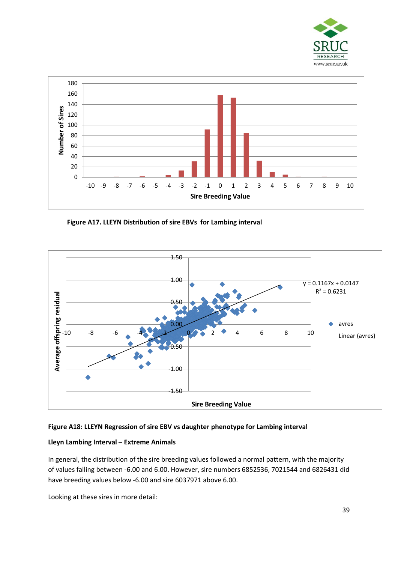



**Figure A17. LLEYN Distribution of sire EBVs for Lambing interval**



#### **Figure A18: LLEYN Regression of sire EBV vs daughter phenotype for Lambing interval**

#### **Lleyn Lambing Interval – Extreme Animals**

In general, the distribution of the sire breeding values followed a normal pattern, with the majority of values falling between -6.00 and 6.00. However, sire numbers 6852536, 7021544 and 6826431 did have breeding values below -6.00 and sire 6037971 above 6.00.

Looking at these sires in more detail: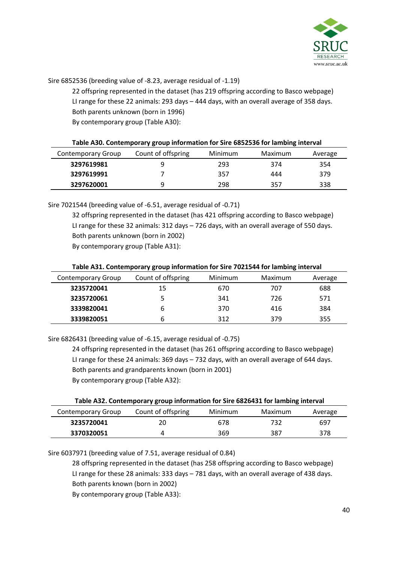

Sire 6852536 (breeding value of -8.23, average residual of -1.19)

22 offspring represented in the dataset (has 219 offspring according to Basco webpage) LI range for these 22 animals: 293 days – 444 days, with an overall average of 358 days. Both parents unknown (born in 1996)

By contemporary group (Table A30):

| Table A30. Contemporary group information for Sire 6852536 for lambing interval |                    |         |         |         |  |
|---------------------------------------------------------------------------------|--------------------|---------|---------|---------|--|
| <b>Contemporary Group</b>                                                       | Count of offspring | Minimum | Maximum | Average |  |
| 3297619981                                                                      | q                  | 293     | 374     | 354     |  |
| 3297619991                                                                      |                    | 357     | 444     | 379     |  |
| 3297620001                                                                      | q                  | 298     | 357     | 338     |  |

Sire 7021544 (breeding value of -6.51, average residual of -0.71)

32 offspring represented in the dataset (has 421 offspring according to Basco webpage) LI range for these 32 animals: 312 days – 726 days, with an overall average of 550 days. Both parents unknown (born in 2002) By contemporary group (Table A31):

| Table A31. Contemporary group information for Sire 7021544 for lambing interval |                    |         |         |         |  |
|---------------------------------------------------------------------------------|--------------------|---------|---------|---------|--|
| <b>Contemporary Group</b>                                                       | Count of offspring | Minimum | Maximum | Average |  |
| 3235720041                                                                      | 15                 | 670     | 707     | 688     |  |
| 3235720061                                                                      | 5                  | 341     | 726     | 571     |  |
| 3339820041                                                                      | 6                  | 370     | 416     | 384     |  |
| 3339820051                                                                      | 6                  | 312     | 379     | 355     |  |

Sire 6826431 (breeding value of -6.15, average residual of -0.75)

24 offspring represented in the dataset (has 261 offspring according to Basco webpage) LI range for these 24 animals: 369 days – 732 days, with an overall average of 644 days. Both parents and grandparents known (born in 2001) By contemporary group (Table A32):

| Table A32. Contemporary group information for Sire 6826431 for lambing interval |                    |         |         |         |  |
|---------------------------------------------------------------------------------|--------------------|---------|---------|---------|--|
| <b>Contemporary Group</b>                                                       | Count of offspring | Minimum | Maximum | Average |  |
| 3235720041                                                                      | 20                 | 678     | 732     | 697     |  |
| 3370320051                                                                      | 4                  | 369     | 387     | 378     |  |

Sire 6037971 (breeding value of 7.51, average residual of 0.84)

28 offspring represented in the dataset (has 258 offspring according to Basco webpage) LI range for these 28 animals: 333 days – 781 days, with an overall average of 438 days. Both parents known (born in 2002)

By contemporary group (Table A33):